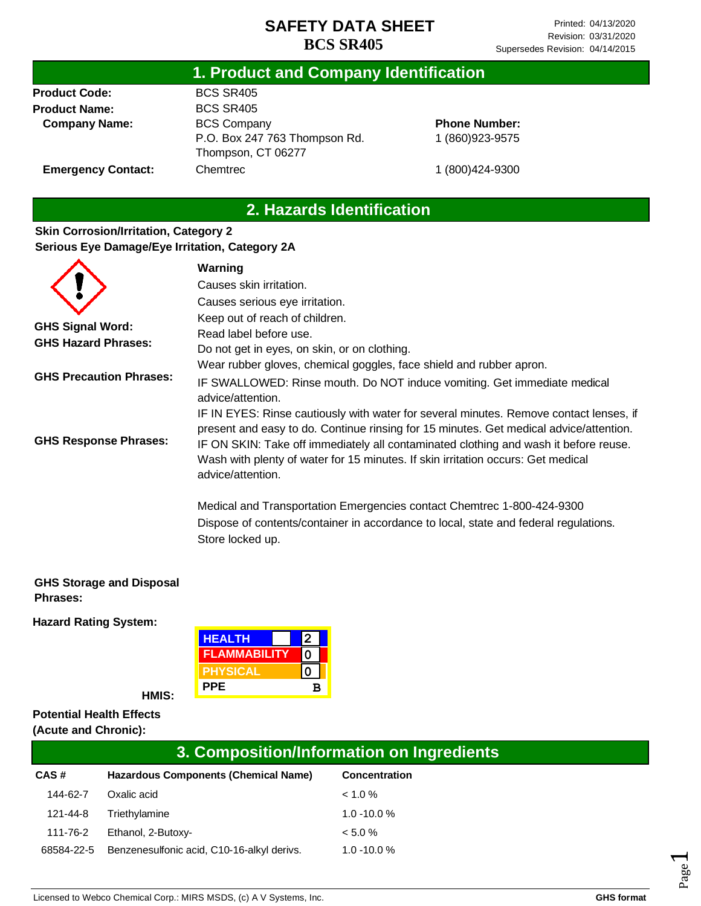#### **1. Product and Company Identification**

**Product Code: Product Name: Company Name:** BCS SR405 BCS SR405 BCS Company P.O. Box 247 763 Thompson Rd. Thompson, CT 06277 Chemtrec

### **Phone Number:** 1 (860)923-9575

**Emergency Contact:**

1 (800)424-9300

## **2. Hazards Identification**

#### **Skin Corrosion/Irritation, Category 2 Serious Eye Damage/Eye Irritation, Category 2A**

|                                | Warning                                                                                                                                                                                                                                                                                                                                                                           |
|--------------------------------|-----------------------------------------------------------------------------------------------------------------------------------------------------------------------------------------------------------------------------------------------------------------------------------------------------------------------------------------------------------------------------------|
|                                | Causes skin irritation.                                                                                                                                                                                                                                                                                                                                                           |
|                                | Causes serious eye irritation.                                                                                                                                                                                                                                                                                                                                                    |
|                                | Keep out of reach of children.                                                                                                                                                                                                                                                                                                                                                    |
| <b>GHS Signal Word:</b>        | Read label before use.                                                                                                                                                                                                                                                                                                                                                            |
| <b>GHS Hazard Phrases:</b>     | Do not get in eyes, on skin, or on clothing.                                                                                                                                                                                                                                                                                                                                      |
|                                | Wear rubber gloves, chemical goggles, face shield and rubber apron.                                                                                                                                                                                                                                                                                                               |
| <b>GHS Precaution Phrases:</b> | IF SWALLOWED: Rinse mouth. Do NOT induce vomiting. Get immediate medical<br>advice/attention.                                                                                                                                                                                                                                                                                     |
| <b>GHS Response Phrases:</b>   | IF IN EYES: Rinse cautiously with water for several minutes. Remove contact lenses, if<br>present and easy to do. Continue rinsing for 15 minutes. Get medical advice/attention.<br>IF ON SKIN: Take off immediately all contaminated clothing and wash it before reuse.<br>Wash with plenty of water for 15 minutes. If skin irritation occurs: Get medical<br>advice/attention. |
|                                | Medical and Transportation Emergencies contact Chemtrec 1-800-424-9300<br>Dispose of contents/container in accordance to local, state and federal regulations.<br>Store locked up.                                                                                                                                                                                                |

#### **GHS Storage and Disposal Phrases:**

**Hazard Rating System:**

| <b>HEALTH</b>       |   |  |
|---------------------|---|--|
| <b>FLAMMABILITY</b> |   |  |
| <b>PHYSICAL</b>     |   |  |
| <b>PPE</b>          | в |  |

**HMIS:**

#### **Potential Health Effects (Acute and Chronic):**

## **3. Composition/Information on Ingredients**

| CAS#       | Hazardous Components (Chemical Name)       | Concentration  |
|------------|--------------------------------------------|----------------|
| 144-62-7   | Oxalic acid                                | $< 1.0 \%$     |
| 121-44-8   | Triethylamine                              | $1.0 - 10.0 %$ |
| 111-76-2   | Ethanol, 2-Butoxy-                         | < 5.0 %        |
| 68584-22-5 | Benzenesulfonic acid, C10-16-alkyl derivs. | $1.0 - 10.0 %$ |

Page  $\overline{\phantom{0}}$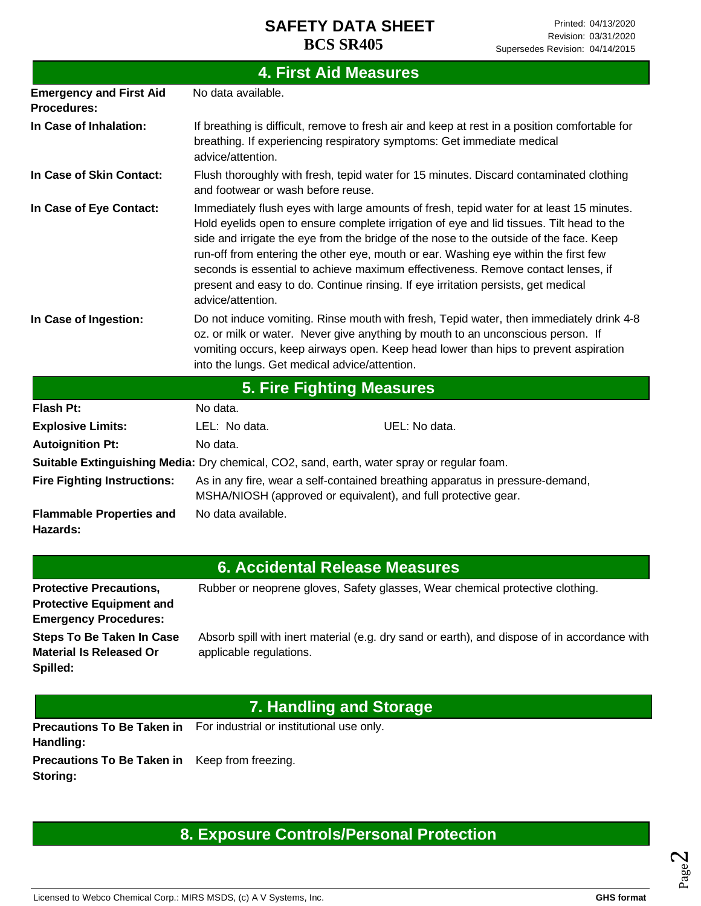| <b>4. First Aid Measures</b>                         |                                               |                                                                                                                                                                                                                                                                                                                                                                                                                                                                                                                                                |  |
|------------------------------------------------------|-----------------------------------------------|------------------------------------------------------------------------------------------------------------------------------------------------------------------------------------------------------------------------------------------------------------------------------------------------------------------------------------------------------------------------------------------------------------------------------------------------------------------------------------------------------------------------------------------------|--|
| <b>Emergency and First Aid</b><br><b>Procedures:</b> | No data available.                            |                                                                                                                                                                                                                                                                                                                                                                                                                                                                                                                                                |  |
| In Case of Inhalation:                               | advice/attention.                             | If breathing is difficult, remove to fresh air and keep at rest in a position comfortable for<br>breathing. If experiencing respiratory symptoms: Get immediate medical                                                                                                                                                                                                                                                                                                                                                                        |  |
| In Case of Skin Contact:                             | and footwear or wash before reuse.            | Flush thoroughly with fresh, tepid water for 15 minutes. Discard contaminated clothing                                                                                                                                                                                                                                                                                                                                                                                                                                                         |  |
| In Case of Eye Contact:                              | advice/attention.                             | Immediately flush eyes with large amounts of fresh, tepid water for at least 15 minutes.<br>Hold eyelids open to ensure complete irrigation of eye and lid tissues. Tilt head to the<br>side and irrigate the eye from the bridge of the nose to the outside of the face. Keep<br>run-off from entering the other eye, mouth or ear. Washing eye within the first few<br>seconds is essential to achieve maximum effectiveness. Remove contact lenses, if<br>present and easy to do. Continue rinsing. If eye irritation persists, get medical |  |
| In Case of Ingestion:                                | into the lungs. Get medical advice/attention. | Do not induce vomiting. Rinse mouth with fresh, Tepid water, then immediately drink 4-8<br>oz. or milk or water. Never give anything by mouth to an unconscious person. If<br>vomiting occurs, keep airways open. Keep head lower than hips to prevent aspiration                                                                                                                                                                                                                                                                              |  |
|                                                      |                                               | 5. Fire Fighting Measures                                                                                                                                                                                                                                                                                                                                                                                                                                                                                                                      |  |
| <b>Flash Pt:</b>                                     | No data.                                      |                                                                                                                                                                                                                                                                                                                                                                                                                                                                                                                                                |  |
| <b>Explosive Limits:</b>                             | I FI · No data                                | LIEL: No data                                                                                                                                                                                                                                                                                                                                                                                                                                                                                                                                  |  |

| гіаэн гі.                                   | ivu udid.                                                                                                                                       |               |  |
|---------------------------------------------|-------------------------------------------------------------------------------------------------------------------------------------------------|---------------|--|
| <b>Explosive Limits:</b>                    | LEL: No data.                                                                                                                                   | UEL: No data. |  |
| <b>Autoignition Pt:</b>                     | No data.                                                                                                                                        |               |  |
|                                             | Suitable Extinguishing Media: Dry chemical, CO2, sand, earth, water spray or regular foam.                                                      |               |  |
| <b>Fire Fighting Instructions:</b>          | As in any fire, wear a self-contained breathing apparatus in pressure-demand,<br>MSHA/NIOSH (approved or equivalent), and full protective gear. |               |  |
| <b>Flammable Properties and</b><br>Hazards: | No data available.                                                                                                                              |               |  |

#### **6. Accidental Release Measures**

| <b>Protective Precautions,</b>   | Rubber or neoprene gloves, Safety glasses, Wear chemical protective clothing.                |
|----------------------------------|----------------------------------------------------------------------------------------------|
| <b>Protective Equipment and</b>  |                                                                                              |
| <b>Emergency Procedures:</b>     |                                                                                              |
| <b>Steps To Be Taken In Case</b> | Absorb spill with inert material (e.g. dry sand or earth), and dispose of in accordance with |
| <b>Material Is Released Or</b>   | applicable regulations.                                                                      |
| Spilled:                         |                                                                                              |

# **7. Handling and Storage**

Precautions To Be Taken in For industrial or institutional use only. **Handling:**

**Precautions To Be Taken in**  Keep from freezing. **Storing:**

# **8. Exposure Controls/Personal Protection**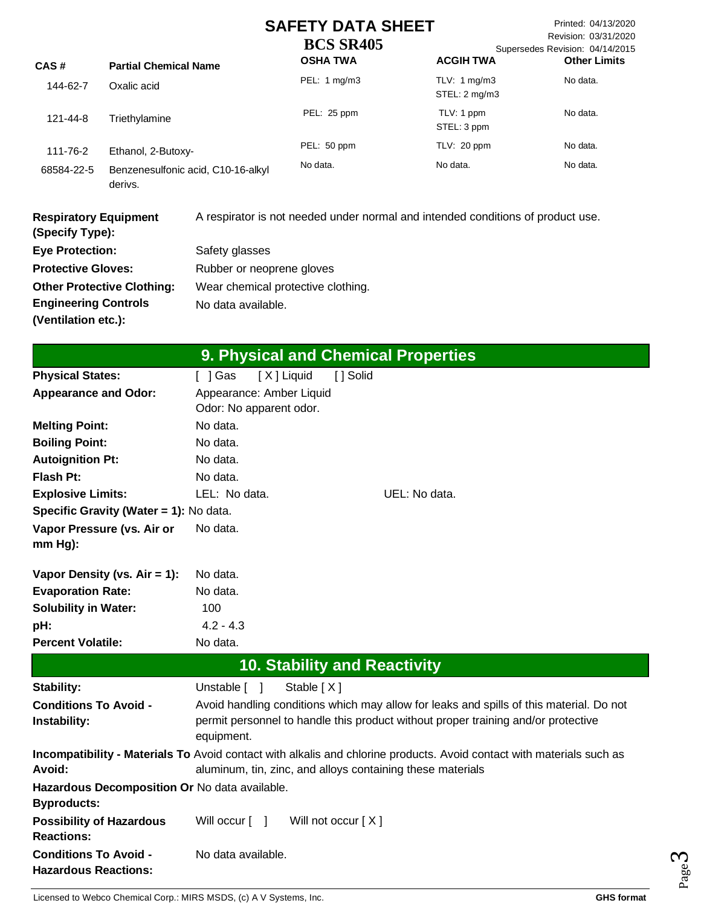Printed: 04/13/2020 Revision: 03/31/2020 Supersedes Revision: 04/14/2015 its

| CAS#       | <b>Partial Chemical Name</b>                  | <b>OSHA TWA</b> | <b>ACGIH TWA</b>                        | <b>Other Limi</b> |
|------------|-----------------------------------------------|-----------------|-----------------------------------------|-------------------|
| 144-62-7   | Oxalic acid                                   | PEL: 1 mg/m3    | TLV: $1 \text{mq/m}$ 3<br>STEL: 2 mg/m3 | No data.          |
| 121-44-8   | Triethylamine                                 | PEL: 25 ppm     | TLV: 1 ppm<br>STEL: 3 ppm               | No data.          |
| 111-76-2   | Ethanol, 2-Butoxy-                            | PEL: 50 ppm     | TLV: 20 ppm                             | No data.          |
| 68584-22-5 | Benzenesulfonic acid, C10-16-alkyl<br>derivs. | No data.        | No data.                                | No data.          |

| <b>Respiratory Equipment</b><br>(Specify Type): | A respirator is not needed under normal and intended conditions of product use. |
|-------------------------------------------------|---------------------------------------------------------------------------------|
| <b>Eye Protection:</b>                          | Safety glasses                                                                  |
| <b>Protective Gloves:</b>                       | Rubber or neoprene gloves                                                       |
| <b>Other Protective Clothing:</b>               | Wear chemical protective clothing.                                              |
| <b>Engineering Controls</b>                     | No data available.                                                              |
| (Ventilation etc.):                             |                                                                                 |

| 9. Physical and Chemical Properties                                 |                                                     |                                     |                                                                                                                                                                                     |
|---------------------------------------------------------------------|-----------------------------------------------------|-------------------------------------|-------------------------------------------------------------------------------------------------------------------------------------------------------------------------------------|
| <b>Physical States:</b>                                             | [ ] Gas                                             | [X] Liquid<br>[] Solid              |                                                                                                                                                                                     |
| <b>Appearance and Odor:</b>                                         | Appearance: Amber Liquid<br>Odor: No apparent odor. |                                     |                                                                                                                                                                                     |
| <b>Melting Point:</b>                                               | No data.                                            |                                     |                                                                                                                                                                                     |
| <b>Boiling Point:</b>                                               | No data.                                            |                                     |                                                                                                                                                                                     |
| <b>Autoignition Pt:</b>                                             | No data.                                            |                                     |                                                                                                                                                                                     |
| <b>Flash Pt:</b>                                                    | No data.                                            |                                     |                                                                                                                                                                                     |
| <b>Explosive Limits:</b>                                            | LEL: No data.                                       |                                     | UEL: No data.                                                                                                                                                                       |
| Specific Gravity (Water = 1): No data.                              |                                                     |                                     |                                                                                                                                                                                     |
| Vapor Pressure (vs. Air or<br>$mm Hg$ :                             | No data.                                            |                                     |                                                                                                                                                                                     |
| Vapor Density (vs. $Air = 1$ ):                                     | No data.                                            |                                     |                                                                                                                                                                                     |
| <b>Evaporation Rate:</b>                                            | No data.                                            |                                     |                                                                                                                                                                                     |
| <b>Solubility in Water:</b>                                         | 100                                                 |                                     |                                                                                                                                                                                     |
| pH:                                                                 | $4.2 - 4.3$                                         |                                     |                                                                                                                                                                                     |
| <b>Percent Volatile:</b>                                            | No data.                                            |                                     |                                                                                                                                                                                     |
|                                                                     |                                                     | <b>10. Stability and Reactivity</b> |                                                                                                                                                                                     |
| Stability:                                                          | Unstable $\lceil \quad \rceil$                      | Stable [X]                          |                                                                                                                                                                                     |
| <b>Conditions To Avoid -</b><br>Instability:                        | equipment.                                          |                                     | Avoid handling conditions which may allow for leaks and spills of this material. Do not<br>permit personnel to handle this product without proper training and/or protective        |
| Avoid:                                                              |                                                     |                                     | Incompatibility - Materials To Avoid contact with alkalis and chlorine products. Avoid contact with materials such as<br>aluminum, tin, zinc, and alloys containing these materials |
| Hazardous Decomposition Or No data available.<br><b>Byproducts:</b> |                                                     |                                     |                                                                                                                                                                                     |
| <b>Possibility of Hazardous</b><br><b>Reactions:</b>                | Will occur $\begin{bmatrix} 1 \end{bmatrix}$        | Will not occur $[X]$                |                                                                                                                                                                                     |
| <b>Conditions To Avoid -</b><br><b>Hazardous Reactions:</b>         | No data available.                                  |                                     |                                                                                                                                                                                     |

Licensed to Webco Chemical Corp.: MIRS MSDS, (c) A V Systems, Inc. **GHS** format **GHS** format

Page ო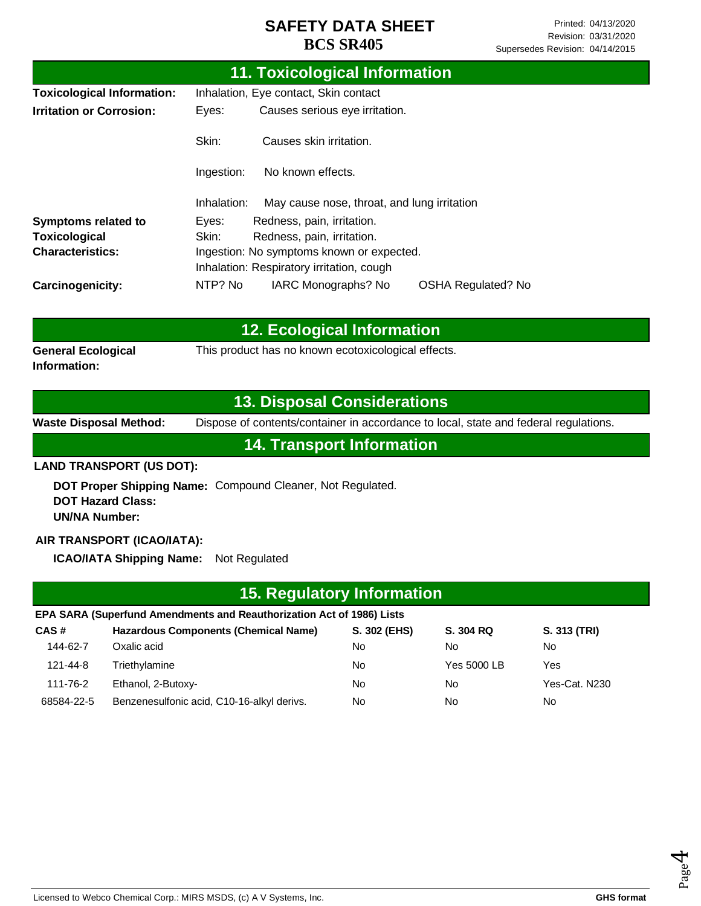| 11. Toxicological Information     |                                           |                                             |                           |  |  |
|-----------------------------------|-------------------------------------------|---------------------------------------------|---------------------------|--|--|
| <b>Toxicological Information:</b> | Inhalation, Eye contact, Skin contact     |                                             |                           |  |  |
| <b>Irritation or Corrosion:</b>   | Eyes:                                     | Causes serious eye irritation.              |                           |  |  |
|                                   | Skin:                                     | Causes skin irritation.                     |                           |  |  |
|                                   | No known effects.<br>Ingestion:           |                                             |                           |  |  |
|                                   | Inhalation:                               | May cause nose, throat, and lung irritation |                           |  |  |
| <b>Symptoms related to</b>        | Eyes:                                     | Redness, pain, irritation.                  |                           |  |  |
| Toxicological                     | Skin:<br>Redness, pain, irritation.       |                                             |                           |  |  |
| <b>Characteristics:</b>           | Ingestion: No symptoms known or expected. |                                             |                           |  |  |
|                                   |                                           | Inhalation: Respiratory irritation, cough   |                           |  |  |
| <b>Carcinogenicity:</b>           | NTP? No                                   | IARC Monographs? No                         | <b>OSHA Regulated? No</b> |  |  |

|                                           | <b>12. Ecological Information</b>                   |
|-------------------------------------------|-----------------------------------------------------|
| <b>General Ecological</b><br>Information: | This product has no known ecotoxicological effects. |

#### **13. Disposal Considerations**

**Waste Disposal Method:** Dispose of contents/container in accordance to local, state and federal regulations.

**14. Transport Information**

#### **LAND TRANSPORT (US DOT):**

**DOT Proper Shipping Name:**  Compound Cleaner, Not Regulated. **DOT Hazard Class: UN/NA Number:**

#### **AIR TRANSPORT (ICAO/IATA):**

**ICAO/IATA Shipping Name:** Not Regulated

# **EPA SARA (Superfund Amendments and Reauthorization Act of 1986) Lists 15. Regulatory Information**

| CAS#       | <b>Hazardous Components (Chemical Name)</b> | S. 302 (EHS) | S. 304 RQ   | S. 313 (TRI)  |
|------------|---------------------------------------------|--------------|-------------|---------------|
| 144-62-7   | Oxalic acid                                 | No           | No          | No            |
| 121-44-8   | Triethylamine                               | No           | Yes 5000 LB | Yes           |
| 111-76-2   | Ethanol, 2-Butoxy-                          | No           | No          | Yes-Cat. N230 |
| 68584-22-5 | Benzenesulfonic acid, C10-16-alkyl derivs.  | No           | No          | No            |